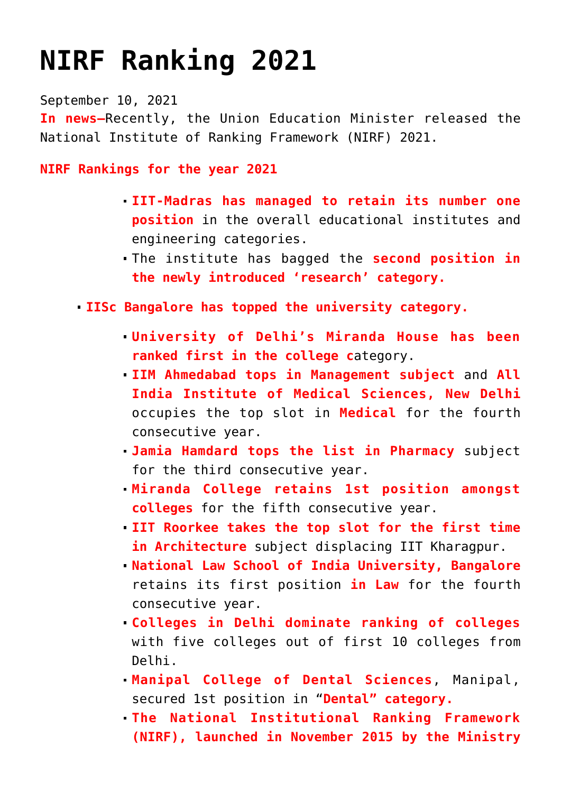## **[NIRF Ranking 2021](https://journalsofindia.com/nirf-ranking-2021/)**

September 10, 2021

**In news–**Recently, the Union Education Minister released the National Institute of Ranking Framework (NIRF) 2021.

**NIRF Rankings for the year 2021**

- **IIT-Madras has managed to retain its number one position** in the overall educational institutes and engineering categories.
- The institute has bagged the **second position in the newly introduced 'research' category.**
- **IISc Bangalore has topped the university category.**
	- **University of Delhi's Miranda House has been ranked first in the college c**ategory.
	- **IIM Ahmedabad tops in Management subject** and **All India Institute of Medical Sciences, New Delhi** occupies the top slot in **Medical** for the fourth consecutive year.
	- **Jamia Hamdard tops the list in Pharmacy** subject for the third consecutive year.
	- **Miranda College retains 1st position amongst colleges** for the fifth consecutive year.
	- **IIT Roorkee takes the top slot for the first time in Architecture** subject displacing IIT Kharagpur.
	- **National Law School of India University, Bangalore** retains its first position **in Law** for the fourth consecutive year.
	- **Colleges in Delhi dominate ranking of colleges** with five colleges out of first 10 colleges from Delhi.
	- **Manipal College of Dental Sciences**, Manipal, secured 1st position in "**Dental" category.**
	- **The National Institutional Ranking Framework (NIRF), launched in November 2015 by the Ministry**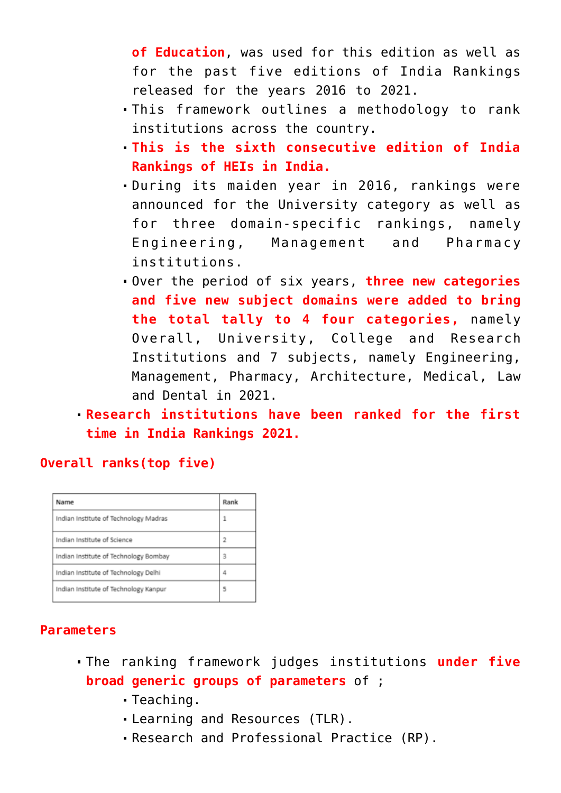**of Education**, was used for this edition as well as for the past five editions of India Rankings released for the years 2016 to 2021.

- This framework outlines a methodology to rank institutions across the country.
- **This is the sixth consecutive edition of India Rankings of HEIs in India.**
- During its maiden year in 2016, rankings were announced for the University category as well as for three domain-specific rankings, namely Engineering, Management and Pharmacy institutions.
- Over the period of six years, **three new categories and five new subject domains were added to bring the total tally to 4 four categories,** namely Overall, University, College and Research Institutions and 7 subjects, namely Engineering, Management, Pharmacy, Architecture, Medical, Law and Dental in 2021.
- **Research institutions have been ranked for the first time in India Rankings 2021.**

## **Overall ranks(top five)**

| Name                                  | Rank |
|---------------------------------------|------|
| Indian Institute of Technology Madras | 1    |
| Indian Institute of Science           | 2    |
| Indian Institute of Technology Bombay | 3    |
| Indian Institute of Technology Delhi  | Δ    |
| Indian Institute of Technology Kanpur | 5    |

## **Parameters**

- The ranking framework judges institutions **under five broad generic groups of parameters** of ;
	- Teaching.
	- Learning and Resources (TLR).
	- Research and Professional Practice (RP).